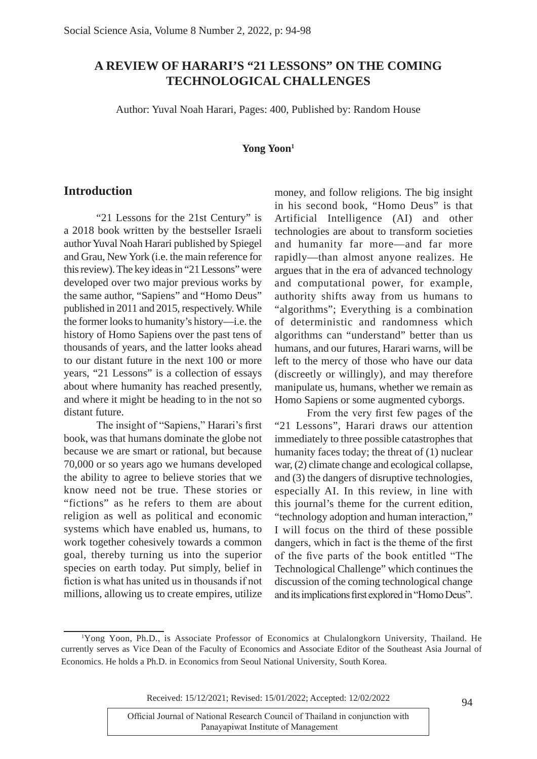## **A REVIEW OF HARARI'S "21 LESSONS" ON THE COMING TECHNOLOGICAL CHALLENGES**

Author: Yuval Noah Harari, Pages: 400, Published by: Random House

#### **Yong Yoon1**

#### **Introduction**

"21 Lessons for the 21st Century" is a 2018 book written by the bestseller Israeli author Yuval Noah Harari published by Spiegel and Grau, New York (i.e. the main reference for this review). The key ideas in "21 Lessons" were developed over two major previous works by the same author, "Sapiens" and "Homo Deus" published in 2011 and 2015, respectively. While the former looks to humanity's history—i.e. the history of Homo Sapiens over the past tens of thousands of years, and the latter looks ahead to our distant future in the next 100 or more years, "21 Lessons" is a collection of essays about where humanity has reached presently, and where it might be heading to in the not so distant future.

The insight of "Sapiens," Harari's first book, was that humans dominate the globe not because we are smart or rational, but because 70,000 or so years ago we humans developed the ability to agree to believe stories that we know need not be true. These stories or "fictions" as he refers to them are about religion as well as political and economic systems which have enabled us, humans, to work together cohesively towards a common goal, thereby turning us into the superior species on earth today. Put simply, belief in fiction is what has united us in thousands if not millions, allowing us to create empires, utilize

money, and follow religions. The big insight in his second book, "Homo Deus" is that Artificial Intelligence (AI) and other technologies are about to transform societies and humanity far more—and far more rapidly—than almost anyone realizes. He argues that in the era of advanced technology and computational power, for example, authority shifts away from us humans to "algorithms"; Everything is a combination of deterministic and randomness which algorithms can "understand" better than us humans, and our futures, Harari warns, will be left to the mercy of those who have our data (discreetly or willingly), and may therefore manipulate us, humans, whether we remain as Homo Sapiens or some augmented cyborgs.

From the very first few pages of the "21 Lessons", Harari draws our attention immediately to three possible catastrophes that humanity faces today; the threat of (1) nuclear war, (2) climate change and ecological collapse, and (3) the dangers of disruptive technologies, especially AI. In this review, in line with this journal's theme for the current edition, "technology adoption and human interaction," I will focus on the third of these possible dangers, which in fact is the theme of the first of the five parts of the book entitled "The Technological Challenge" which continues the discussion of the coming technological change and its implications first explored in "Homo Deus".

Received: 15/12/2021; Revised: 15/01/2022; Accepted: 12/02/2022

94

<sup>1</sup> Yong Yoon, Ph.D. is Associate Professor of Economics at Chulalongkorn University, Thailand. He currently serves as Vice Dean of the Faculty of Economics and Associate Editor of the Southeast Asia Journal of Economics. He holds a Ph.D. in Economics from Seoul National University, South Korea.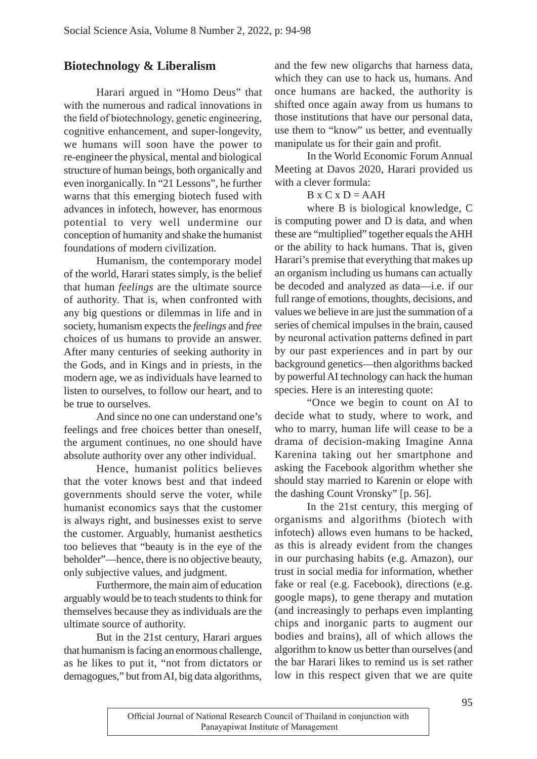# **Biotechnology & Liberalism**

 Harari argued in "Homo Deus" that with the numerous and radical innovations in the field of biotechnology, genetic engineering, cognitive enhancement, and super-longevity, we humans will soon have the power to re-engineer the physical, mental and biological structure of human beings, both organically and even inorganically. In "21 Lessons", he further warns that this emerging biotech fused with advances in infotech, however, has enormous potential to very well undermine our conception of humanity and shake the humanist foundations of modern civilization.

 Humanism, the contemporary model of the world, Harari states simply, is the belief that human *feelings* are the ultimate source of authority. That is, when confronted with any big questions or dilemmas in life and in society, humanism expects the *feelings* and *free*  choices of us humans to provide an answer. After many centuries of seeking authority in the Gods, and in Kings and in priests, in the modern age, we as individuals have learned to listen to ourselves, to follow our heart, and to be true to ourselves.

 And since no one can understand one's feelings and free choices better than oneself, the argument continues, no one should have absolute authority over any other individual.

 Hence, humanist politics believes that the voter knows best and that indeed governments should serve the voter, while humanist economics says that the customer is always right, and businesses exist to serve the customer. Arguably, humanist aesthetics too believes that "beauty is in the eye of the beholder"—hence, there is no objective beauty, only subjective values, and judgment.

 Furthermore, the main aim of education arguably would be to teach students to think for themselves because they as individuals are the ultimate source of authority.

 But in the 21st century, Harari argues that humanism is facing an enormous challenge, as he likes to put it, "not from dictators or demagogues," but from AI, big data algorithms, and the few new oligarchs that harness data, which they can use to hack us, humans. And once humans are hacked, the authority is shifted once again away from us humans to those institutions that have our personal data, use them to "know" us better, and eventually manipulate us for their gain and profit.

 In the World Economic Forum Annual Meeting at Davos 2020, Harari provided us with a clever formula:

#### $B \times C \times D = AAH$

 where B is biological knowledge, C is computing power and D is data, and when these are "multiplied" together equals the AHH or the ability to hack humans. That is, given Harari's premise that everything that makes up an organism including us humans can actually be decoded and analyzed as data—i.e. if our full range of emotions, thoughts, decisions, and values we believe in are just the summation of a series of chemical impulses in the brain, caused by neuronal activation patterns defined in part by our past experiences and in part by our background genetics—then algorithms backed by powerful AI technology can hack the human species. Here is an interesting quote:

 "Once we begin to count on AI to decide what to study, where to work, and who to marry, human life will cease to be a drama of decision-making Imagine Anna Karenina taking out her smartphone and asking the Facebook algorithm whether she should stay married to Karenin or elope with the dashing Count Vronsky" [p. 56].

 In the 21st century, this merging of organisms and algorithms (biotech with infotech) allows even humans to be hacked, as this is already evident from the changes in our purchasing habits (e.g. Amazon), our trust in social media for information, whether fake or real (e.g. Facebook), directions (e.g. google maps), to gene therapy and mutation (and increasingly to perhaps even implanting chips and inorganic parts to augment our bodies and brains), all of which allows the algorithm to know us better than ourselves (and the bar Harari likes to remind us is set rather low in this respect given that we are quite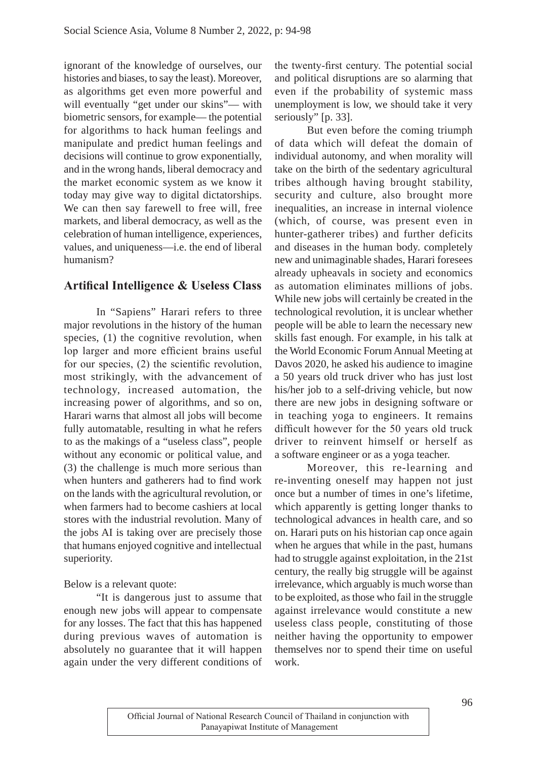ignorant of the knowledge of ourselves, our histories and biases, to say the least). Moreover, as algorithms get even more powerful and will eventually "get under our skins"— with biometric sensors, for example— the potential for algorithms to hack human feelings and manipulate and predict human feelings and decisions will continue to grow exponentially, and in the wrong hands, liberal democracy and the market economic system as we know it today may give way to digital dictatorships. We can then say farewell to free will, free markets, and liberal democracy, as well as the celebration of human intelligence, experiences, values, and uniqueness—i.e. the end of liberal humanism?

# **Artifical Intelligence & Useless Class**

 In "Sapiens" Harari refers to three major revolutions in the history of the human species, (1) the cognitive revolution, when lop larger and more efficient brains useful for our species,  $(2)$  the scientific revolution, most strikingly, with the advancement of technology, increased automation, the increasing power of algorithms, and so on, Harari warns that almost all jobs will become fully automatable, resulting in what he refers to as the makings of a "useless class", people without any economic or political value, and (3) the challenge is much more serious than when hunters and gatherers had to find work on the lands with the agricultural revolution, or when farmers had to become cashiers at local stores with the industrial revolution. Many of the jobs AI is taking over are precisely those that humans enjoyed cognitive and intellectual superiority.

### Below is a relevant quote:

 "It is dangerous just to assume that enough new jobs will appear to compensate for any losses. The fact that this has happened during previous waves of automation is absolutely no guarantee that it will happen again under the very different conditions of the twenty-first century. The potential social and political disruptions are so alarming that even if the probability of systemic mass unemployment is low, we should take it very seriously" [p. 33].

 But even before the coming triumph of data which will defeat the domain of individual autonomy, and when morality will take on the birth of the sedentary agricultural tribes although having brought stability, security and culture, also brought more inequalities, an increase in internal violence (which, of course, was present even in hunter-gatherer tribes) and further deficits and diseases in the human body. completely new and unimaginable shades, Harari foresees already upheavals in society and economics as automation eliminates millions of jobs. While new jobs will certainly be created in the technological revolution, it is unclear whether people will be able to learn the necessary new skills fast enough. For example, in his talk at the World Economic Forum Annual Meeting at Davos 2020, he asked his audience to imagine a 50 years old truck driver who has just lost his/her job to a self-driving vehicle, but now there are new jobs in designing software or in teaching yoga to engineers. It remains difficult however for the 50 years old truck driver to reinvent himself or herself as a software engineer or as a yoga teacher.

 Moreover, this re-learning and re-inventing oneself may happen not just once but a number of times in one's lifetime, which apparently is getting longer thanks to technological advances in health care, and so on. Harari puts on his historian cap once again when he argues that while in the past, humans had to struggle against exploitation, in the 21st century, the really big struggle will be against irrelevance, which arguably is much worse than to be exploited, as those who fail in the struggle against irrelevance would constitute a new useless class people, constituting of those neither having the opportunity to empower themselves nor to spend their time on useful work.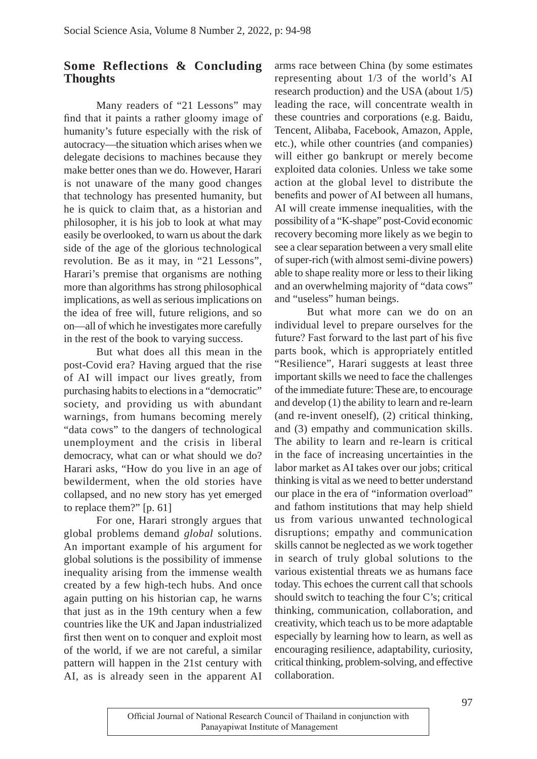## **Some Reflections & Concluding Thoughts**

 Many readers of "21 Lessons" may find that it paints a rather gloomy image of humanity's future especially with the risk of autocracy—the situation which arises when we delegate decisions to machines because they make better ones than we do. However, Harari is not unaware of the many good changes that technology has presented humanity, but he is quick to claim that, as a historian and philosopher, it is his job to look at what may easily be overlooked, to warn us about the dark side of the age of the glorious technological revolution. Be as it may, in "21 Lessons", Harari's premise that organisms are nothing more than algorithms has strong philosophical implications, as well as serious implications on the idea of free will, future religions, and so on—all of which he investigates more carefully in the rest of the book to varying success.

 But what does all this mean in the post-Covid era? Having argued that the rise of AI will impact our lives greatly, from purchasing habits to elections in a "democratic" society, and providing us with abundant warnings, from humans becoming merely "data cows" to the dangers of technological unemployment and the crisis in liberal democracy, what can or what should we do? Harari asks, "How do you live in an age of bewilderment, when the old stories have collapsed, and no new story has yet emerged to replace them?" [p. 61]

 For one, Harari strongly argues that global problems demand *global* solutions. An important example of his argument for global solutions is the possibility of immense inequality arising from the immense wealth created by a few high-tech hubs. And once again putting on his historian cap, he warns that just as in the 19th century when a few countries like the UK and Japan industrialized first then went on to conquer and exploit most of the world, if we are not careful, a similar pattern will happen in the 21st century with AI, as is already seen in the apparent AI arms race between China (by some estimates representing about 1/3 of the world's AI research production) and the USA (about 1/5) leading the race, will concentrate wealth in these countries and corporations (e.g. Baidu, Tencent, Alibaba, Facebook, Amazon, Apple, etc.), while other countries (and companies) will either go bankrupt or merely become exploited data colonies. Unless we take some action at the global level to distribute the benefits and power of AI between all humans, AI will create immense inequalities, with the possibility of a "K-shape" post-Covid economic recovery becoming more likely as we begin to see a clear separation between a very small elite of super-rich (with almost semi-divine powers) able to shape reality more or less to their liking and an overwhelming majority of "data cows" and "useless" human beings.

 But what more can we do on an individual level to prepare ourselves for the future? Fast forward to the last part of his five parts book, which is appropriately entitled "Resilience", Harari suggests at least three important skills we need to face the challenges of the immediate future: These are, to encourage and develop (1) the ability to learn and re-learn (and re-invent oneself), (2) critical thinking, and (3) empathy and communication skills. The ability to learn and re-learn is critical in the face of increasing uncertainties in the labor market as AI takes over our jobs; critical thinking is vital as we need to better understand our place in the era of "information overload" and fathom institutions that may help shield us from various unwanted technological disruptions; empathy and communication skills cannot be neglected as we work together in search of truly global solutions to the various existential threats we as humans face today. This echoes the current call that schools should switch to teaching the four C's; critical thinking, communication, collaboration, and creativity, which teach us to be more adaptable especially by learning how to learn, as well as encouraging resilience, adaptability, curiosity, critical thinking, problem-solving, and effective collaboration.